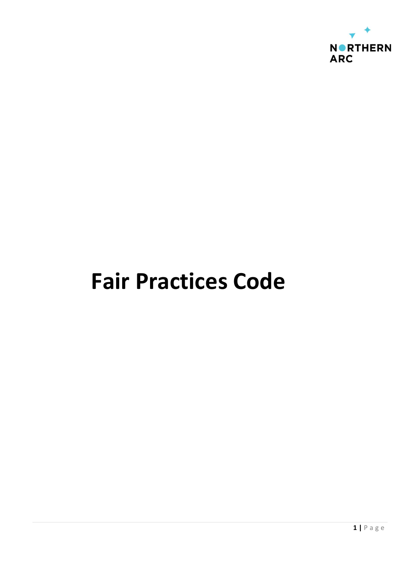

# Fair Practices Code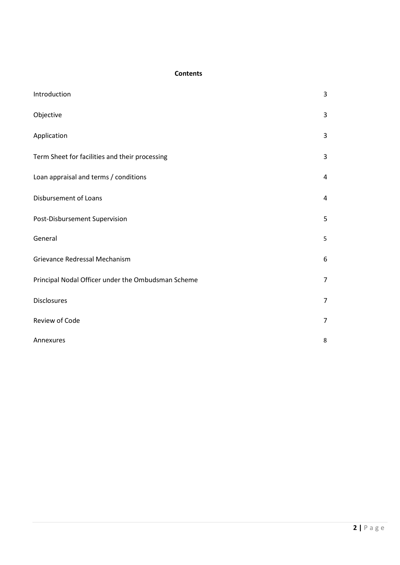# **Contents**

| Introduction                                       | 3 |
|----------------------------------------------------|---|
| Objective                                          | 3 |
| Application                                        | 3 |
| Term Sheet for facilities and their processing     | 3 |
| Loan appraisal and terms / conditions              | 4 |
| Disbursement of Loans                              | 4 |
| Post-Disbursement Supervision                      | 5 |
| General                                            | 5 |
| Grievance Redressal Mechanism                      | 6 |
| Principal Nodal Officer under the Ombudsman Scheme |   |
| Disclosures                                        |   |
| Review of Code                                     |   |
| Annexures                                          | 8 |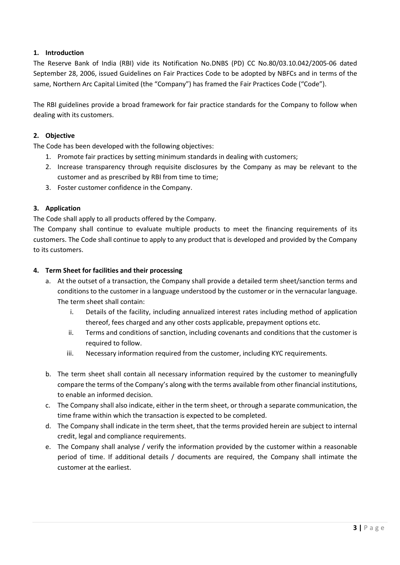# 1. Introduction

The Reserve Bank of India (RBI) vide its Notification No.DNBS (PD) CC No.80/03.10.042/2005-06 dated September 28, 2006, issued Guidelines on Fair Practices Code to be adopted by NBFCs and in terms of the same, Northern Arc Capital Limited (the "Company") has framed the Fair Practices Code ("Code").

The RBI guidelines provide a broad framework for fair practice standards for the Company to follow when dealing with its customers.

# 2. Objective

The Code has been developed with the following objectives:

- 1. Promote fair practices by setting minimum standards in dealing with customers;
- 2. Increase transparency through requisite disclosures by the Company as may be relevant to the customer and as prescribed by RBI from time to time;
- 3. Foster customer confidence in the Company.

# 3. Application

The Code shall apply to all products offered by the Company.

The Company shall continue to evaluate multiple products to meet the financing requirements of its customers. The Code shall continue to apply to any product that is developed and provided by the Company to its customers.

# 4. Term Sheet for facilities and their processing

- a. At the outset of a transaction, the Company shall provide a detailed term sheet/sanction terms and conditions to the customer in a language understood by the customer or in the vernacular language. The term sheet shall contain:
	- i. Details of the facility, including annualized interest rates including method of application thereof, fees charged and any other costs applicable, prepayment options etc.
	- ii. Terms and conditions of sanction, including covenants and conditions that the customer is required to follow.
	- iii. Necessary information required from the customer, including KYC requirements.
- b. The term sheet shall contain all necessary information required by the customer to meaningfully compare the terms of the Company's along with the terms available from other financial institutions, to enable an informed decision.
- c. The Company shall also indicate, either in the term sheet, or through a separate communication, the time frame within which the transaction is expected to be completed.
- d. The Company shall indicate in the term sheet, that the terms provided herein are subject to internal credit, legal and compliance requirements.
- e. The Company shall analyse / verify the information provided by the customer within a reasonable period of time. If additional details / documents are required, the Company shall intimate the customer at the earliest.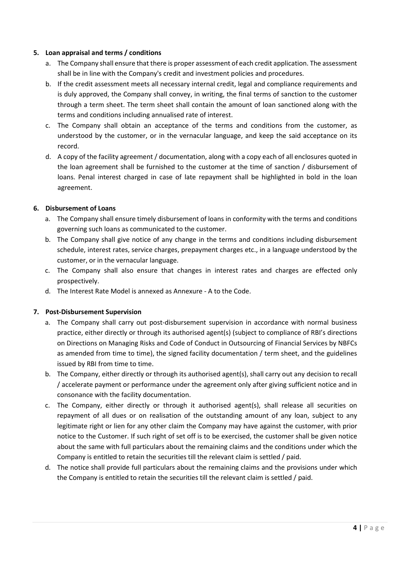# 5. Loan appraisal and terms / conditions

- a. The Company shall ensure that there is proper assessment of each credit application. The assessment shall be in line with the Company's credit and investment policies and procedures.
- b. If the credit assessment meets all necessary internal credit, legal and compliance requirements and is duly approved, the Company shall convey, in writing, the final terms of sanction to the customer through a term sheet. The term sheet shall contain the amount of loan sanctioned along with the terms and conditions including annualised rate of interest.
- c. The Company shall obtain an acceptance of the terms and conditions from the customer, as understood by the customer, or in the vernacular language, and keep the said acceptance on its record.
- d. A copy of the facility agreement / documentation, along with a copy each of all enclosures quoted in the loan agreement shall be furnished to the customer at the time of sanction / disbursement of loans. Penal interest charged in case of late repayment shall be highlighted in bold in the loan agreement.

# 6. Disbursement of Loans

- a. The Company shall ensure timely disbursement of loans in conformity with the terms and conditions governing such loans as communicated to the customer.
- b. The Company shall give notice of any change in the terms and conditions including disbursement schedule, interest rates, service charges, prepayment charges etc., in a language understood by the customer, or in the vernacular language.
- c. The Company shall also ensure that changes in interest rates and charges are effected only prospectively.
- d. The Interest Rate Model is annexed as Annexure A to the Code.

# 7. Post-Disbursement Supervision

- a. The Company shall carry out post-disbursement supervision in accordance with normal business practice, either directly or through its authorised agent(s) (subject to compliance of RBI's directions on Directions on Managing Risks and Code of Conduct in Outsourcing of Financial Services by NBFCs as amended from time to time), the signed facility documentation / term sheet, and the guidelines issued by RBI from time to time.
- b. The Company, either directly or through its authorised agent(s), shall carry out any decision to recall / accelerate payment or performance under the agreement only after giving sufficient notice and in consonance with the facility documentation.
- c. The Company, either directly or through it authorised agent(s), shall release all securities on repayment of all dues or on realisation of the outstanding amount of any loan, subject to any legitimate right or lien for any other claim the Company may have against the customer, with prior notice to the Customer. If such right of set off is to be exercised, the customer shall be given notice about the same with full particulars about the remaining claims and the conditions under which the Company is entitled to retain the securities till the relevant claim is settled / paid.
- d. The notice shall provide full particulars about the remaining claims and the provisions under which the Company is entitled to retain the securities till the relevant claim is settled / paid.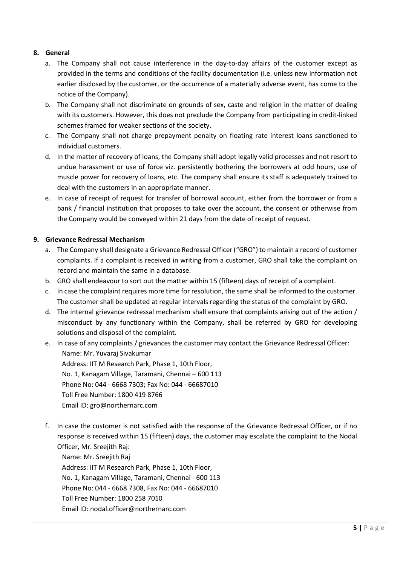# 8. General

- a. The Company shall not cause interference in the day-to-day affairs of the customer except as provided in the terms and conditions of the facility documentation (i.e. unless new information not earlier disclosed by the customer, or the occurrence of a materially adverse event, has come to the notice of the Company).
- b. The Company shall not discriminate on grounds of sex, caste and religion in the matter of dealing with its customers. However, this does not preclude the Company from participating in credit-linked schemes framed for weaker sections of the society.
- c. The Company shall not charge prepayment penalty on floating rate interest loans sanctioned to individual customers.
- d. In the matter of recovery of loans, the Company shall adopt legally valid processes and not resort to undue harassment or use of force viz. persistently bothering the borrowers at odd hours, use of muscle power for recovery of loans, etc. The company shall ensure its staff is adequately trained to deal with the customers in an appropriate manner.
- e. In case of receipt of request for transfer of borrowal account, either from the borrower or from a bank / financial institution that proposes to take over the account, the consent or otherwise from the Company would be conveyed within 21 days from the date of receipt of request.

## 9. Grievance Redressal Mechanism

- a. The Company shall designate a Grievance Redressal Officer ("GRO") to maintain a record of customer complaints. If a complaint is received in writing from a customer, GRO shall take the complaint on record and maintain the same in a database.
- b. GRO shall endeavour to sort out the matter within 15 (fifteen) days of receipt of a complaint.
- c. In case the complaint requires more time for resolution, the same shall be informed to the customer. The customer shall be updated at regular intervals regarding the status of the complaint by GRO.
- d. The internal grievance redressal mechanism shall ensure that complaints arising out of the action / misconduct by any functionary within the Company, shall be referred by GRO for developing solutions and disposal of the complaint.
- e. In case of any complaints / grievances the customer may contact the Grievance Redressal Officer: Name: Mr. Yuvaraj Sivakumar Address: IIT M Research Park, Phase 1, 10th Floor, No. 1, Kanagam Village, Taramani, Chennai – 600 113 Phone No: 044 - 6668 7303; Fax No: 044 - 66687010 Toll Free Number: 1800 419 8766 Email ID: gro@northernarc.com
- f. In case the customer is not satisfied with the response of the Grievance Redressal Officer, or if no response is received within 15 (fifteen) days, the customer may escalate the complaint to the Nodal Officer, Mr. Sreejith Raj:

Name: Mr. Sreejith Raj Address: IIT M Research Park, Phase 1, 10th Floor, No. 1, Kanagam Village, Taramani, Chennai - 600 113 Phone No: 044 - 6668 7308, Fax No: 044 - 66687010 Toll Free Number: 1800 258 7010 Email ID: nodal.officer@northernarc.com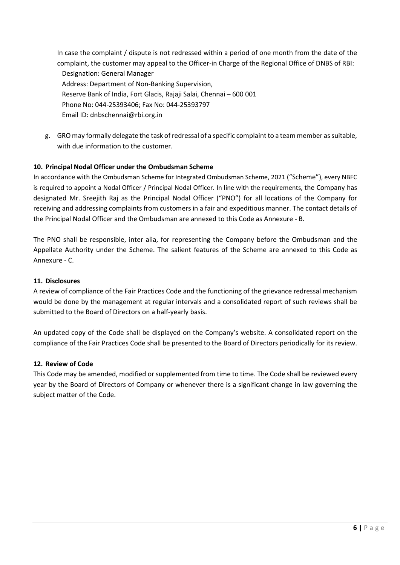In case the complaint / dispute is not redressed within a period of one month from the date of the complaint, the customer may appeal to the Officer-in Charge of the Regional Office of DNBS of RBI: Designation: General Manager Address: Department of Non-Banking Supervision, Reserve Bank of India, Fort Glacis, Rajaji Salai, Chennai – 600 001 Phone No: 044-25393406; Fax No: 044-25393797 Email ID: dnbschennai@rbi.org.in

g. GRO may formally delegate the task of redressal of a specific complaint to a team member as suitable, with due information to the customer.

# 10. Principal Nodal Officer under the Ombudsman Scheme

In accordance with the Ombudsman Scheme for Integrated Ombudsman Scheme, 2021 ("Scheme"), every NBFC is required to appoint a Nodal Officer / Principal Nodal Officer. In line with the requirements, the Company has designated Mr. Sreejith Raj as the Principal Nodal Officer ("PNO") for all locations of the Company for receiving and addressing complaints from customers in a fair and expeditious manner. The contact details of the Principal Nodal Officer and the Ombudsman are annexed to this Code as Annexure - B.

The PNO shall be responsible, inter alia, for representing the Company before the Ombudsman and the Appellate Authority under the Scheme. The salient features of the Scheme are annexed to this Code as Annexure - C.

## 11. Disclosures

A review of compliance of the Fair Practices Code and the functioning of the grievance redressal mechanism would be done by the management at regular intervals and a consolidated report of such reviews shall be submitted to the Board of Directors on a half-yearly basis.

An updated copy of the Code shall be displayed on the Company's website. A consolidated report on the compliance of the Fair Practices Code shall be presented to the Board of Directors periodically for its review.

## 12. Review of Code

This Code may be amended, modified or supplemented from time to time. The Code shall be reviewed every year by the Board of Directors of Company or whenever there is a significant change in law governing the subject matter of the Code.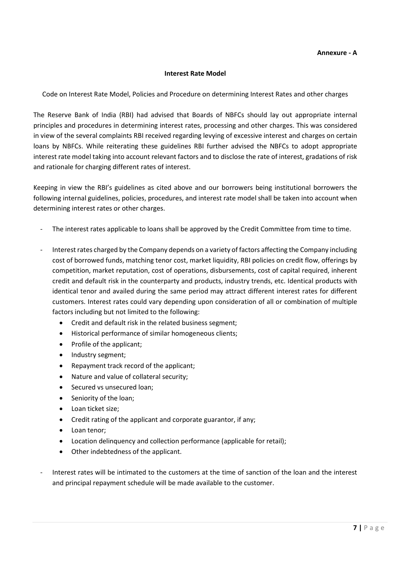## Interest Rate Model

Code on Interest Rate Model, Policies and Procedure on determining Interest Rates and other charges

The Reserve Bank of India (RBI) had advised that Boards of NBFCs should lay out appropriate internal principles and procedures in determining interest rates, processing and other charges. This was considered in view of the several complaints RBI received regarding levying of excessive interest and charges on certain loans by NBFCs. While reiterating these guidelines RBI further advised the NBFCs to adopt appropriate interest rate model taking into account relevant factors and to disclose the rate of interest, gradations of risk and rationale for charging different rates of interest.

Keeping in view the RBI's guidelines as cited above and our borrowers being institutional borrowers the following internal guidelines, policies, procedures, and interest rate model shall be taken into account when determining interest rates or other charges.

- The interest rates applicable to loans shall be approved by the Credit Committee from time to time.
- Interest rates charged by the Company depends on a variety of factors affecting the Company including cost of borrowed funds, matching tenor cost, market liquidity, RBI policies on credit flow, offerings by competition, market reputation, cost of operations, disbursements, cost of capital required, inherent credit and default risk in the counterparty and products, industry trends, etc. Identical products with identical tenor and availed during the same period may attract different interest rates for different customers. Interest rates could vary depending upon consideration of all or combination of multiple factors including but not limited to the following:
	- Credit and default risk in the related business segment;
	- Historical performance of similar homogeneous clients;
	- Profile of the applicant;
	- Industry segment;
	- Repayment track record of the applicant;
	- Nature and value of collateral security;
	- Secured vs unsecured loan;
	- Seniority of the loan;
	- Loan ticket size:
	- Credit rating of the applicant and corporate guarantor, if any;
	- Loan tenor:
	- Location delinquency and collection performance (applicable for retail);
	- Other indebtedness of the applicant.
- Interest rates will be intimated to the customers at the time of sanction of the loan and the interest and principal repayment schedule will be made available to the customer.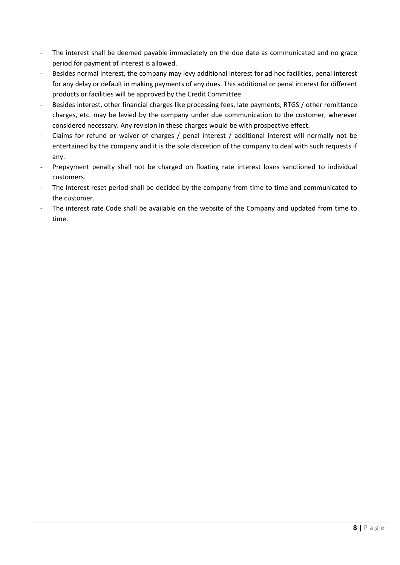- The interest shall be deemed payable immediately on the due date as communicated and no grace period for payment of interest is allowed.
- Besides normal interest, the company may levy additional interest for ad hoc facilities, penal interest for any delay or default in making payments of any dues. This additional or penal interest for different products or facilities will be approved by the Credit Committee.
- Besides interest, other financial charges like processing fees, late payments, RTGS / other remittance charges, etc. may be levied by the company under due communication to the customer, wherever considered necessary. Any revision in these charges would be with prospective effect.
- Claims for refund or waiver of charges / penal interest / additional interest will normally not be entertained by the company and it is the sole discretion of the company to deal with such requests if any.
- Prepayment penalty shall not be charged on floating rate interest loans sanctioned to individual customers.
- The interest reset period shall be decided by the company from time to time and communicated to the customer.
- The interest rate Code shall be available on the website of the Company and updated from time to time.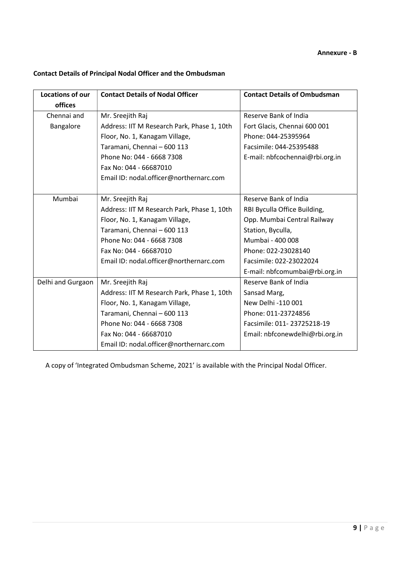# Contact Details of Principal Nodal Officer and the Ombudsman

| <b>Locations of our</b> | <b>Contact Details of Nodal Officer</b>     | <b>Contact Details of Ombudsman</b> |
|-------------------------|---------------------------------------------|-------------------------------------|
| offices                 |                                             |                                     |
| Chennai and             | Mr. Sreejith Raj                            | Reserve Bank of India               |
| Bangalore               | Address: IIT M Research Park, Phase 1, 10th | Fort Glacis, Chennai 600 001        |
|                         | Floor, No. 1, Kanagam Village,              | Phone: 044-25395964                 |
|                         | Taramani, Chennai - 600 113                 | Facsimile: 044-25395488             |
|                         | Phone No: 044 - 6668 7308                   | E-mail: nbfcochennai@rbi.org.in     |
|                         | Fax No: 044 - 66687010                      |                                     |
|                         | Email ID: nodal.officer@northernarc.com     |                                     |
|                         |                                             |                                     |
| Mumbai                  | Mr. Sreejith Raj                            | Reserve Bank of India               |
|                         | Address: IIT M Research Park, Phase 1, 10th | RBI Byculla Office Building,        |
|                         | Floor, No. 1, Kanagam Village,              | Opp. Mumbai Central Railway         |
|                         | Taramani, Chennai - 600 113                 | Station, Byculla,                   |
|                         | Phone No: 044 - 6668 7308                   | Mumbai - 400 008                    |
|                         | Fax No: 044 - 66687010                      | Phone: 022-23028140                 |
|                         | Email ID: nodal.officer@northernarc.com     | Facsimile: 022-23022024             |
|                         |                                             | E-mail: nbfcomumbai@rbi.org.in      |
| Delhi and Gurgaon       | Mr. Sreejith Raj                            | Reserve Bank of India               |
|                         | Address: IIT M Research Park, Phase 1, 10th | Sansad Marg,                        |
|                         | Floor, No. 1, Kanagam Village,              | New Delhi -110 001                  |
|                         | Taramani, Chennai - 600 113                 | Phone: 011-23724856                 |
|                         | Phone No: 044 - 6668 7308                   | Facsimile: 011-23725218-19          |
|                         | Fax No: 044 - 66687010                      | Email: nbfconewdelhi@rbi.org.in     |
|                         | Email ID: nodal.officer@northernarc.com     |                                     |

A copy of 'Integrated Ombudsman Scheme, 2021' is available with the Principal Nodal Officer.